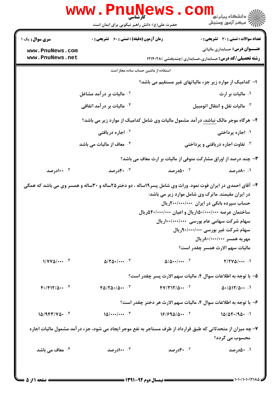|                                     | <b>WWW.PNUNews</b><br>حضرت علی(ع): دانش راهبر نیکویی برای ایمان است | کارشناسی                                 | ڪ دانشڪاه پيا <sub>م</sub> نور<br><mark>√</mark> مرڪز آزمون وسنڊش                                                                                                                                                                                                                                                                                                                                                                 |
|-------------------------------------|---------------------------------------------------------------------|------------------------------------------|-----------------------------------------------------------------------------------------------------------------------------------------------------------------------------------------------------------------------------------------------------------------------------------------------------------------------------------------------------------------------------------------------------------------------------------|
| <b>سری سوال :</b> یک ۱              | <b>زمان آزمون (دقیقه) : تستی : 60 ٪ تشریحی : 0</b>                  |                                          | تعداد سوالات : تستي : 30 ٪ تشريحي : 0                                                                                                                                                                                                                                                                                                                                                                                             |
| www.PnuNews.com                     |                                                                     |                                          | <b>عنـــوان درس:</b> حسابداری مالیاتی                                                                                                                                                                                                                                                                                                                                                                                             |
| www.PnuNews.net                     |                                                                     |                                          | <b>رشته تحصیلی/کد درس:</b> حسابداری،حسابداری (چندبخشی )۱۲۱۴۰۲۸                                                                                                                                                                                                                                                                                                                                                                    |
|                                     |                                                                     | استفاده از ماشین حساب ساده مجاز است      |                                                                                                                                                                                                                                                                                                                                                                                                                                   |
|                                     |                                                                     |                                          | ا– کدامیک از موارد زیر جزء مالیاتهای غیر مستقیم می باشد؟                                                                                                                                                                                                                                                                                                                                                                          |
|                                     | ۰ <sup>۲</sup> مالیات بر در آمد مشاغل                               |                                          | ۰۱ مالیات بر ارث                                                                                                                                                                                                                                                                                                                                                                                                                  |
|                                     | ۰ <sup>۴</sup> مالیات بر در آمد اتفاقی                              |                                          | ۰۳ مالیات نقل و انتقال اتومبیل                                                                                                                                                                                                                                                                                                                                                                                                    |
|                                     |                                                                     |                                          | ۲- هرگاه موجر مالک نباشد، درآمد مشمول مالیات وی شامل کدامیک از موارد زیر می باشد؟                                                                                                                                                                                                                                                                                                                                                 |
|                                     | <sup>۲ .</sup> اجاره دریافتی                                        |                                          | ۰۱ اجاره پرداختی                                                                                                                                                                                                                                                                                                                                                                                                                  |
|                                     | ۰۴ معاف از مالیات می باشد                                           |                                          | شاوت اجاره دریافتی و پرداختی $\cdot$                                                                                                                                                                                                                                                                                                                                                                                              |
|                                     |                                                                     |                                          | ۳- چند درصد از اوراق مشارکت متوفی از مالیات بر ارث معاف می باشد؟                                                                                                                                                                                                                                                                                                                                                                  |
| ۰۴ ۱۰۰درصد                          | ۰۳ ۴۰ورصد                                                           | ۰۰ مادرصد <b>.</b>                       | ۰۱ ۸۰درصد                                                                                                                                                                                                                                                                                                                                                                                                                         |
|                                     |                                                                     |                                          | ۴- آقای احمدی در ایران فوت نمود. وراث وی شامل پسر۱۹ساله ، دو دختر۲۵ساله و ۳۰ساله و همسر وی می باشد که همگی<br>در ایران مقیمند. ماترک وی شامل موارد زیر می باشد:<br>حساب سپرده بانکی در ایران ۲۰۰/۰۰۰/۰۰۰۰ ریال<br>ساختمان عرصه ۰۰۰/۰۰۰/۰۰۰۱۱ریال و اعیان ۴۰/۰۰۰/۰۰۰۵دریال<br>سهام شرکت سهامی عام بورسی ۱۰۰/۰۰۰/۰۰۰۰ ریال<br>سهام شرکت غیر بورسی ۹۰/۰۰۰/۰۰۰ ریال<br>مهريه همسر ٨٠٠/٠٠٠/٠٠٠ ريال<br>ماليات سهم الارث همسر چقدر است؟ |
| $1/\gamma \gamma \Delta / \cdots$ . | $\Delta/\Upsilon\Delta$ . $\cdots$ $\Upsilon$                       | $\Delta/\Delta$ $\cdots$ $\cdot$ $\cdot$ | $T/TV\Delta$ /                                                                                                                                                                                                                                                                                                                                                                                                                    |
|                                     |                                                                     |                                          | ۵- با توجه به اطلاعات سوال ۴، ماليات سهم الارث پسر چقدر است؟                                                                                                                                                                                                                                                                                                                                                                      |
| $F^{\bullet}/F$ $N/\Delta \cdots$   | $F\Delta/T\Delta$ ./ $\Delta$ $\cdot$                               | $fV/T$ $V/\Delta$ $V$                    | $\Delta$ ./ $\Delta$ 17/ $\Delta$                                                                                                                                                                                                                                                                                                                                                                                                 |
|                                     |                                                                     |                                          | ۶- با توجه به اطلاعات سوال ۴، مالیات سهم الارث هر دختر چقدر است؟                                                                                                                                                                                                                                                                                                                                                                  |
| $10/964/100 \cdot 15$               | $10/$ $\cdot$                                                       | 18/990/0                                 | 10/07.90.1                                                                                                                                                                                                                                                                                                                                                                                                                        |
|                                     |                                                                     |                                          | ۷– چه میزان از متحدثاتی که طبق قرارداد از طرف مستاجر به نفع موجر ایجاد می شود، جزء در آمد مشمول مالیات اجاره<br>محسوب می گردد؟                                                                                                                                                                                                                                                                                                    |
| ۰ <sup>۴</sup> معاف می باشد         | ۰۳ ۱۰۰درصد                                                          | ۰۲ ۴۰ورصد                                | ۰۱ ۵۰درصد                                                                                                                                                                                                                                                                                                                                                                                                                         |
|                                     |                                                                     |                                          |                                                                                                                                                                                                                                                                                                                                                                                                                                   |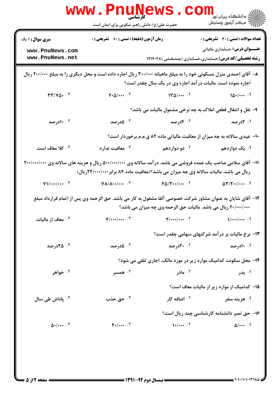|                                                            | <b>WWW.PNUNE</b><br><b>کارشناسی</b>                                                                                                                                                                            | WS.CO                                                          |                                                                                                         |
|------------------------------------------------------------|----------------------------------------------------------------------------------------------------------------------------------------------------------------------------------------------------------------|----------------------------------------------------------------|---------------------------------------------------------------------------------------------------------|
|                                                            | حضرت علی(ع): دانش راهبر نیکویی برای ایمان است                                                                                                                                                                  |                                                                | الاد دانشگاه پيام نور دارد.<br>الاس مرکز آزمون وسنجش                                                    |
| <b>سری سوال : ۱ یک</b>                                     | <b>زمان آزمون (دقیقه) : تستی : 60 ٪ تشریحی : 0</b>                                                                                                                                                             |                                                                | <b>تعداد سوالات : تستی : 30 ٪ تشریحی : 0</b>                                                            |
| www.PnuNews.com<br>www.PnuNews.net                         |                                                                                                                                                                                                                |                                                                | <b>عنـــوان درس:</b> حسابداری مالیاتی<br><b>رشته تحصیلی/کد درس:</b> حسابداری،حسابداری (چندبخشی )۱۲۱۴۰۲۸ |
|                                                            | ۸- آقای احمدی منزل مسکونی خود را به مبلغ ماهیانه ۳۰۰/۰۰۰ ریال اجاره داده است و محل دیگری را به مبلغ ۲۰۰/۰۰۰ ریال                                                                                               | اجاره نموده است. مالیات در آمد اجاره وی در یک سال چقدر است؟    |                                                                                                         |
| $\mathbf{r}\mathbf{r}/\mathbf{v}\mathbf{r}$ . $\mathbf{r}$ | $F\cdot \Delta/\cdots$ .                                                                                                                                                                                       | 140/                                                           | 10.1                                                                                                    |
|                                                            |                                                                                                                                                                                                                |                                                                | ۹- نقل و انتقال قطعی املاک به چه نرخی مشمول مالیات می باشد؟                                             |
| ۰۴ ۱۰درصد                                                  | ۰۳ ه.رصد                                                                                                                                                                                                       | ۰۲ کادرصد                                                      | ۰۱. ۲درصد                                                                                               |
|                                                            |                                                                                                                                                                                                                |                                                                | <b>۰۱</b> - عیدی سالانه به چه میزان از معافیت مالیاتی ماده ۸۴ ق.م.م برخوردار است؟                       |
| ۰۴ کلا معاف است                                            | معافیت ندارد $\cdot^{\mathsf{y}}$                                                                                                                                                                              | ۰ <sup>۲</sup> دو دوازدهم                                      | ۰۱ یک دوازدهم                                                                                           |
|                                                            | ۱۱- آقای سلامی صاحب یک عمده فروشی می باشد. در آمد سالانه وی ۵۰۰/۰۰۰/۰۰۰ ریال و هزینه های سالانه وی ۲۰۰/۰۰۰/۰۰۰<br><b>ریال می باشد. مالیات سالانه وی چه میزان می باشد؟(معافیت ماده ۸۴ برابر ۲۴/۰۰۰/۰۰۰ریال)</b> |                                                                |                                                                                                         |
| $V1/\cdots/\cdots$ . $F$                                   | $\mathsf{V}\Lambda/\Lambda\cdots/\cdots$ .                                                                                                                                                                     | $F\Delta/\Upsilon\cdots$ .                                     | $\Delta \mathbf{Y} / \mathbf{Y} \cdots / \cdots$ .                                                      |
|                                                            | ۱۲– آقای شایان به عنوان مشاور شرکت خصوصی آلفا مشغول به کار می باشد. حق الزحمه وی پس از اتمام قرارداد مبلغ                                                                                                      | ۲۰/۰۰۰/۰۰۰ ریال می باشد. مالیات حق الزحمه وی چه میزان می باشد؟ |                                                                                                         |
| ۰۴ معاف از مالیات                                          | $F$ /***/*** $\cdot$ $\cdot$ $\cdot$                                                                                                                                                                           | $\mathbf{Y}/\cdots/\cdots$ . $\mathbf{Y}$                      | 1//                                                                                                     |
|                                                            |                                                                                                                                                                                                                |                                                                | ۱۳- نرخ مالیات بر در آمد شرکتهای سهامی چقدر است؟                                                        |
| ۰۴ کادرصد                                                  | ۰۳ ه.رصد                                                                                                                                                                                                       | <b>10 . 20 رصد</b>                                             | ۰۱ ۱۰درصد                                                                                               |
|                                                            |                                                                                                                                                                                                                |                                                                | ۱۴- محل سکونت کدامیک موارد زیر در مورد مالک، اجاری تلقی می شود؟                                         |
| ۰۴ خواهر                                                   | همسر $\cdot^{\mathsf{r}}$                                                                                                                                                                                      | ۰ <sup>۲</sup> مادر                                            | ۰۱ پدر                                                                                                  |
|                                                            |                                                                                                                                                                                                                |                                                                | <b>۱۵</b> – کدامیک از موارد زیر از مالیات معاف است؟                                                     |
| ۰ <sup>۴</sup> پاداش طی سال                                | حق جذب $\cdot$ $^{\circ}$                                                                                                                                                                                      | ۰ <sup>۲</sup> اضافه کار                                       | ۰۱ هزینه سفر                                                                                            |
|                                                            |                                                                                                                                                                                                                |                                                                | ۱۶– حق تمبر دانشنامه کارشناسی چند ریال است؟                                                             |
| $\Delta$ . $\cdots$ $\zeta$                                | $\mathbf{Y} \cdot   \cdots$ . $\mathbf{Y}$                                                                                                                                                                     | 1.4                                                            | $\Delta$ /                                                                                              |
|                                                            |                                                                                                                                                                                                                |                                                                |                                                                                                         |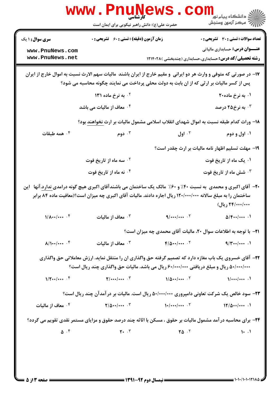|                                                  | <b>www.Pnunews</b><br>حضرت علی(ع): دانش راهبر نیکویی برای ایمان است                                          |                                          | الد دانشگاه پیام نور<br>الله مرکز آزمون وسنجش                                                                                         |
|--------------------------------------------------|--------------------------------------------------------------------------------------------------------------|------------------------------------------|---------------------------------------------------------------------------------------------------------------------------------------|
| <b>سری سوال : ۱ یک</b>                           | <b>زمان آزمون (دقیقه) : تستی : 60 ٪ تشریحی : 0</b>                                                           |                                          | <b>تعداد سوالات : تستی : 30 ٪ تشریحی : 0</b>                                                                                          |
| www.PnuNews.com<br>www.PnuNews.net               |                                                                                                              |                                          | <b>عنـــوان درس:</b> حسابداری مالیاتی<br><b>رشته تحصیلی/کد درس:</b> حسابداری،حسابداری (چندبخشی )۱۲۱۴۰۲۸                               |
|                                                  | پس از کسر مالیات بر ارثی که از ان بابت به دولت محلی پرداخت می نمایند چگونه محاسبه می شود؟                    |                                          | ۱۷- در صورتی که متوفی و وارث هر دو ایرانی ًو مقیم خارج از ایران باشند ًمالیات سهم الارث نسبت به اموال خارج از ایران                   |
|                                                  | <b>13 به نرخ ماده ۱۳۱</b>                                                                                    |                                          | ۰۱ به نرخ ماده۲۰                                                                                                                      |
|                                                  | ۰۴ معاف از مالیات می باشد                                                                                    |                                          | به نرخ۲۵ درصد $\cdot^{\mathtt{w}}$                                                                                                    |
|                                                  |                                                                                                              |                                          | ۱۸- وراث کدام طبقه نسبت به اموال شهدای انقلاب اسلامی مشمول مالیات بر ارث <u>نخواهند</u> بود؟                                          |
| ۰۴ همه طبقات                                     | ۰۳ دوم $\cdot$                                                                                               | $J$ اول $\cdot$                          | ۰۱ اول و دوم                                                                                                                          |
|                                                  |                                                                                                              |                                          | ۱۹- مهلت تسلیم اظهار نامه مالیات بر ارث چقدر است؟                                                                                     |
|                                                  | ۰ <sup>۲</sup> سه ماه از تاریخ فوت                                                                           |                                          | ۰۱ یک ماه از تاریخ فوت                                                                                                                |
|                                                  | ۰۴ نه ماه از تاریخ فوت                                                                                       |                                          | ۰ <sup>۳</sup> شش ماه از تاریخ فوت                                                                                                    |
|                                                  | ساختمان را به مبلغ سالانه ۱۲۰/۰۰۰/۰۰۰ ریال اجاره دادند. مالیات آقای اکبری چه میزان است؟(معافیت ماده ۸۴ برابر |                                          | <b>-۲-</b> آقای اکبری و محمدی به نسبت ۴۰٪ و ۶۰٪ مالک یک ساختمان می باشندآقای اکبری هیچ گونه درامدی ندارد.آنها آین<br>٢۴/٠٠٠/٠٠٠ ريال) |
| $1/\Lambda$ $\cdot\cdot\cdot$ $\cdot$ $\uparrow$ | معاف از مالیات $\cdot$ ۳                                                                                     | $9/$ / . $7$                             | $\Delta$ /F/                                                                                                                          |
|                                                  |                                                                                                              |                                          | <b>۲۱</b> - با توجه به اطلاعات سوال ۲۰، مالیات آقای محمدی چه میزان است؟                                                               |
| $\Lambda/\Lambda$ $\cdot$                        | معاف از ماليات $\cdot$                                                                                       |                                          | $9/4$                                                                                                                                 |
|                                                  | ۵۰/۰۰۰/۰۰۰ ریال و مبلغ دریافتی ۶۰/۰۰۰/۰۰۰ ریال می باشد. مالیات حق واگذاری چند ریال است؟                      |                                          | ۲۲- آقای خسروی یک باب مغازه دارد که تصمیم گرفته حق واگذاری ان را منتقل نماید. ارزش معاملاتی حق واگذاری                                |
| $1/\Upsilon$ $\cdot \cdot$ $\cdot$ $\cdot$       | $\mathbf{Y}/\cdots/\cdots$ $\mathbf{Y}$                                                                      |                                          | 1//                                                                                                                                   |
|                                                  |                                                                                                              |                                          | <b>۲۳</b> - سود خالص یک شرکت تعاونی دامپروری ۵۰/۰۰۰/۰۰۰ ریال است. مالیات بر در آمدآن چند ریال است؟                                    |
| ۰۴ معاف از مالیات                                |                                                                                                              | $\frac{1}{2}$                            | $17/\Delta$ $\cdots$                                                                                                                  |
|                                                  |                                                                                                              |                                          | <b>3۴</b> - برای محاسبه در آمد مشمول مالیات بر حقوق ، مسکن با اثاثه چند درصد حقوق و مزایای مستمر نقدی تقویم می گردد؟                  |
| $\Delta$ . ۴                                     | $\mathbf{r}$ . $\mathbf{r}$                                                                                  | $\mathbf{Y} \Delta$ $\cdot$ $\mathbf{Y}$ | 1.1                                                                                                                                   |
|                                                  |                                                                                                              |                                          |                                                                                                                                       |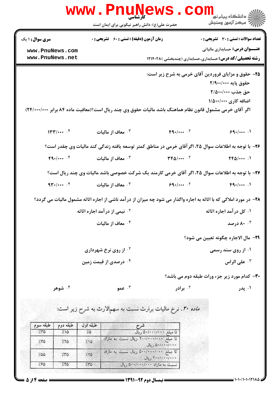|                                           |              | <b>WWW</b>   | كارشناسي<br>حضرت علی(ع): دانش راهبر نیکویی برای ایمان است      |                                                                                                                    |                                                                                       | ڪ دانشڪاه پيا <sub>م</sub> نور<br><mark>∕</mark> > مرڪز آزمون وسنڊش |  |
|-------------------------------------------|--------------|--------------|----------------------------------------------------------------|--------------------------------------------------------------------------------------------------------------------|---------------------------------------------------------------------------------------|---------------------------------------------------------------------|--|
| <b>سری سوال :</b> ۱ یک<br>www.PnuNews.com |              |              | <b>زمان آزمون (دقیقه) : تستی : 60 ٪ تشریحی : 0</b>             |                                                                                                                    | <b>تعداد سوالات : تستی : 30 ٪ تشریحی : 0</b><br><b>عنـــوان درس:</b> حسابداری مالیاتی |                                                                     |  |
| www.PnuNews.net                           |              |              | <b>رشته تحصیلی/کد درس:</b> حسابداری،حسابداری (چندبخشی )۱۲۱۴۰۲۸ |                                                                                                                    |                                                                                       |                                                                     |  |
|                                           |              |              |                                                                | ۲۵- حقوق و مزایای فروردین آقای خرمی به شرح زیر است:                                                                |                                                                                       | حقوق پايه ۲/۹۰۰/۰۰۰<br>حق جذب ٢/٥٠٠/٠٠٠<br>اضافه کاری ۱/۵۰۰/۰۰۰     |  |
|                                           |              |              |                                                                | اگر آقای خرمی مشمول قانون نظام هماهنگ باشد مالیات حقوق وی چند ریال است؟(معافیت ماده ۸۴ برابر ۲۴/۰۰۰/۰۰۰)           |                                                                                       |                                                                     |  |
|                                           | 144.1        |              | معاف از ماليات $\cdot$                                         | $F9.1$ T                                                                                                           |                                                                                       | 99.1                                                                |  |
|                                           |              |              |                                                                | ۲۶- با توجه به اطلاعات سوال ۲۵، اگر آقای خرمی در مناطق کمتر توسعه یافته زندگی کند مالیات وی چقدر است؟              |                                                                                       |                                                                     |  |
|                                           | $F(1)$       |              | معاف از ماليات $\cdot^7$                                       | $TP\Delta$ / $.7$                                                                                                  |                                                                                       | $\Upsilon \uparrow \Delta / \cdots$ .                               |  |
|                                           |              |              |                                                                | ۲۷- با توجه به اطلاعات سوال ۲۵، اگر آقای خرمی کارمند یک شرکت خصوصی باشد مالیات وی چند ریال است؟                    |                                                                                       |                                                                     |  |
|                                           | 94.4         |              | معاف از ماليات $\cdot^7$                                       |                                                                                                                    | 99.1<br>$F(1)$                                                                        |                                                                     |  |
|                                           |              |              |                                                                | ۲۸- در مورد املاکی که با اثاثه به اجاره واگذار می شود چه میزان از در آمد ناشی از اجاره اثاثه مشمول مالیات می گردد؟ |                                                                                       |                                                                     |  |
|                                           |              |              | <sup>۲ .</sup> نیمی از درآمد اجاره اثاثه                       |                                                                                                                    |                                                                                       | ۰۱ کل در آمد اجاره اثاثه                                            |  |
|                                           |              |              | ۰۴ معاف از مالیات                                              |                                                                                                                    | ۸۰۰۳ درصد                                                                             |                                                                     |  |
|                                           |              |              |                                                                |                                                                                                                    |                                                                                       | 79- مال الاجاره چگونه تعیین می شود؟                                 |  |
|                                           |              |              | <sup>7 .</sup> از روی نرخ شهرداری                              |                                                                                                                    |                                                                                       | ۰۱ از روی سند رسم <i>ی</i>                                          |  |
|                                           |              |              | ۰۴ درصدی از قیمت زمین                                          |                                                                                                                    | على الراس "                                                                           |                                                                     |  |
|                                           |              |              |                                                                |                                                                                                                    |                                                                                       | <b>۳۰</b> - کدام مورد زیر جزء وراث طبقه دوم می باشد؟                |  |
|                                           | ۰۴ شوهر      |              | م ۲۰ عمو $\cdot$                                               | ۰۲ برادر                                                                                                           |                                                                                       | ۰۱ پدر                                                              |  |
|                                           |              |              |                                                                | م <i>اده ۲۰. نرخ م</i> الیات برارث نسبت به سهمالارث به شرح زیر است:                                                |                                                                                       |                                                                     |  |
| طبقه سوم                                  | طبقه دوم     | طبقه اول     |                                                                | شرح                                                                                                                |                                                                                       |                                                                     |  |
| 7.70                                      | 710          | 7.0          |                                                                | نا مېلغ ۵۰/۰۰۰/۰۰۰ ريال<br>تا مبلغ ۲۰۰/۰۰۰/۰۰۰ ریال نسبت به مازاد                                                  |                                                                                       |                                                                     |  |
| 7.50                                      | 7.70         | 710          |                                                                | ۵۰/۰۰۰/۰۰۰ ريال<br>تا مبلغ ۵۰۰/۰۰۰/۰۰۰ ربال نسبت به مازاد                                                          |                                                                                       |                                                                     |  |
| 7.00<br>7.50                              | 7.70<br>7.70 | 7.70<br>1.70 |                                                                | ٢٠٠/٠٠٠/٠٠٠١٠٠<br>نسبت به مازاد ۰۰/۰۰/۰۰ اریال                                                                     |                                                                                       |                                                                     |  |
|                                           |              |              |                                                                |                                                                                                                    |                                                                                       |                                                                     |  |

**: صفحه 4 از 5 =**